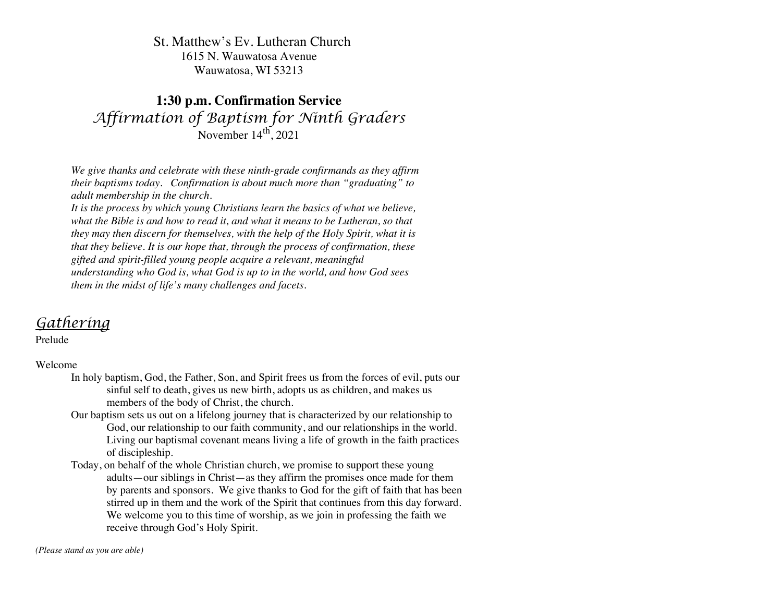## St. Matthew's Ev. Lutheran Church 1615 N. Wauwatosa Avenue Wauwatosa, WI 53213

## **1:30 p.m. Confirmation Service** *Affirmation of Baptism for Ninth Graders* November 14<sup>th</sup>, 2021

*We give thanks and celebrate with these ninth-grade confirmands as they affirm their baptisms today. Confirmation is about much more than "graduating" to adult membership in the church.*

*It is the process by which young Christians learn the basics of what we believe, what the Bible is and how to read it, and what it means to be Lutheran, so that they may then discern for themselves, with the help of the Holy Spirit, what it is that they believe. It is our hope that, through the process of confirmation, these gifted and spirit-filled young people acquire a relevant, meaningful understanding who God is, what God is up to in the world, and how God sees them in the midst of life's many challenges and facets.*

## *Gathering*

Prelude

### Welcome

- In holy baptism, God, the Father, Son, and Spirit frees us from the forces of evil, puts our sinful self to death, gives us new birth, adopts us as children, and makes us members of the body of Christ, the church.
- Our baptism sets us out on a lifelong journey that is characterized by our relationship to God, our relationship to our faith community, and our relationships in the world. Living our baptismal covenant means living a life of growth in the faith practices of discipleship.
- Today, on behalf of the whole Christian church, we promise to support these young adults—our siblings in Christ—as they affirm the promises once made for them by parents and sponsors. We give thanks to God for the gift of faith that has been stirred up in them and the work of the Spirit that continues from this day forward. We welcome you to this time of worship, as we join in professing the faith we receive through God's Holy Spirit.

*(Please stand as you are able)*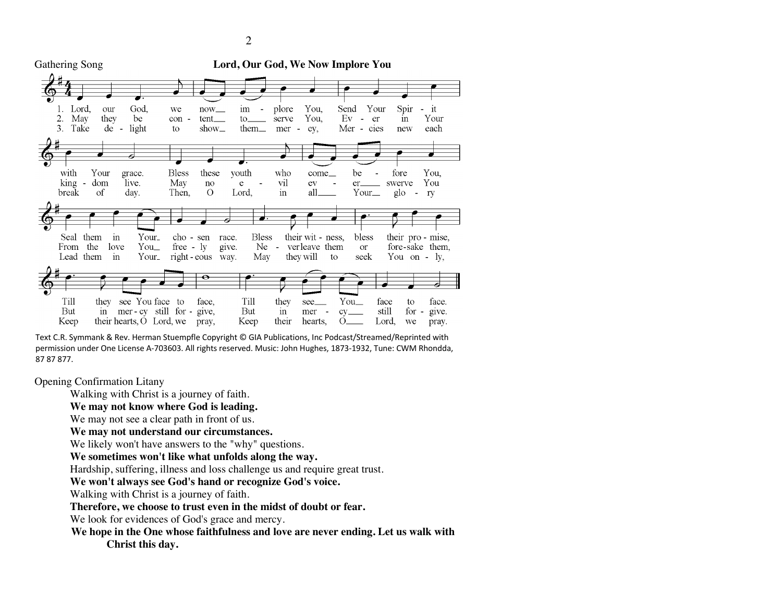

Text C.R. Symmank & Rev. Herman Stuempfle Copyright © GIA Publications, Inc Podcast/Streamed/Reprinted with permission under One License A-703603. All rights reserved. Music: John Hughes, 1873-1932, Tune: CWM Rhondda, 87 87 877.

Opening Confirmation Litany

Walking with Christ is a journey of faith.

### **We may not know where God is leading.**

We may not see a clear path in front of us.

**We may not understand our circumstances.**

We likely won't have answers to the "why" questions.

**We sometimes won't like what unfolds along the way.**

Hardship, suffering, illness and loss challenge us and require great trust.

**We won't always see God's hand or recognize God's voice.**

Walking with Christ is a journey of faith.

**Therefore, we choose to trust even in the midst of doubt or fear.**

We look for evidences of God's grace and mercy.

**We hope in the One whose faithfulness and love are never ending. Let us walk with Christ this day.**

2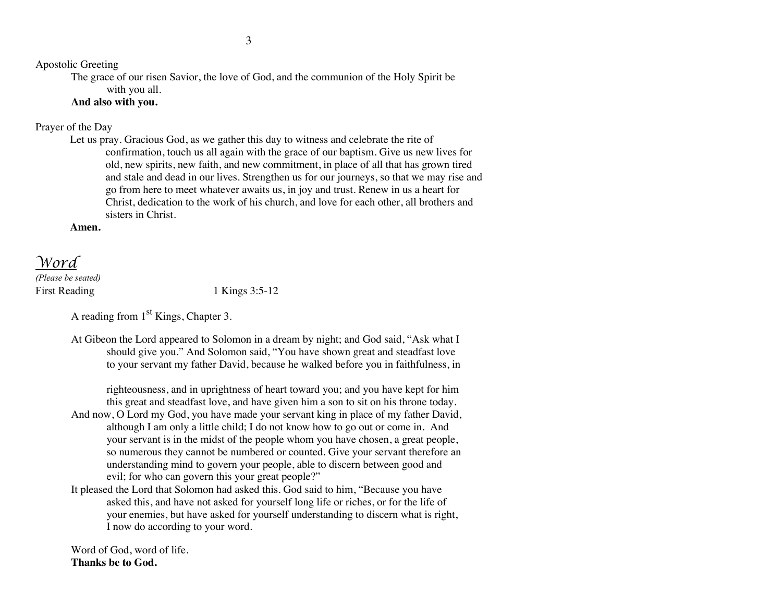Apostolic Greeting

The grace of our risen Savior, the love of God, and the communion of the Holy Spirit be with you all.

### **And also with you.**

### Prayer of the Day

Let us pray. Gracious God, as we gather this day to witness and celebrate the rite of confirmation, touch us all again with the grace of our baptism. Give us new lives for old, new spirits, new faith, and new commitment, in place of all that has grown tired and stale and dead in our lives. Strengthen us for our journeys, so that we may rise and go from here to meet whatever awaits us, in joy and trust. Renew in us a heart for Christ, dedication to the work of his church, and love for each other, all brothers and sisters in Christ.

**Amen.**

## *Word*

*(Please be seated)* First Reading 1 Kings 3:5-12

A reading from  $1<sup>st</sup>$  Kings, Chapter 3.

At Gibeon the Lord appeared to Solomon in a dream by night; and God said, "Ask what I should give you." And Solomon said, "You have shown great and steadfast love to your servant my father David, because he walked before you in faithfulness, in

righteousness, and in uprightness of heart toward you; and you have kept for him this great and steadfast love, and have given him a son to sit on his throne today.

- And now, O Lord my God, you have made your servant king in place of my father David, although I am only a little child; I do not know how to go out or come in. And your servant is in the midst of the people whom you have chosen, a great people, so numerous they cannot be numbered or counted. Give your servant therefore an understanding mind to govern your people, able to discern between good and evil; for who can govern this your great people?"
- It pleased the Lord that Solomon had asked this. God said to him, "Because you have asked this, and have not asked for yourself long life or riches, or for the life of your enemies, but have asked for yourself understanding to discern what is right, I now do according to your word.

Word of God, word of life. **Thanks be to God.**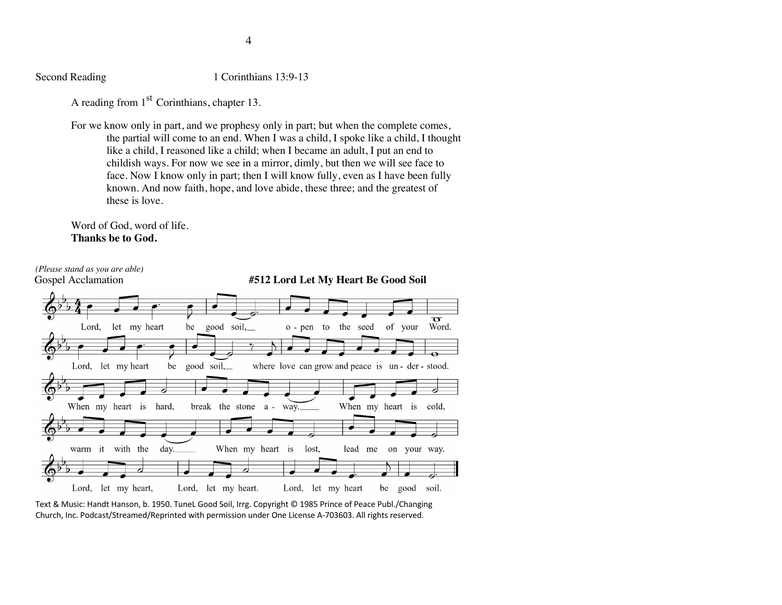Second Reading 1 Corinthians 13:9-13

A reading from 1<sup>st</sup> Corinthians, chapter 13.

For we know only in part, and we prophesy only in part; but when the complete comes, the partial will come to an end. When I was a child, I spoke like a child, I thought like a child, I reasoned like a child; when I became an adult, I put an end to childish ways. For now we see in a mirror, dimly, but then we will see face to face. Now I know only in part; then I will know fully, even as I have been fully known. And now faith, hope, and love abide, these three; and the greatest of these is love.

Word of God, word of life. **Thanks be to God.**



Text & Music: Handt Hanson, b. 1950. TuneL Good Soil, Irrg. Copyright © 1985 Prince of Peace Publ./Changing Church, Inc. Podcast/Streamed/Reprinted with permission under One License A-703603. All rights reserved.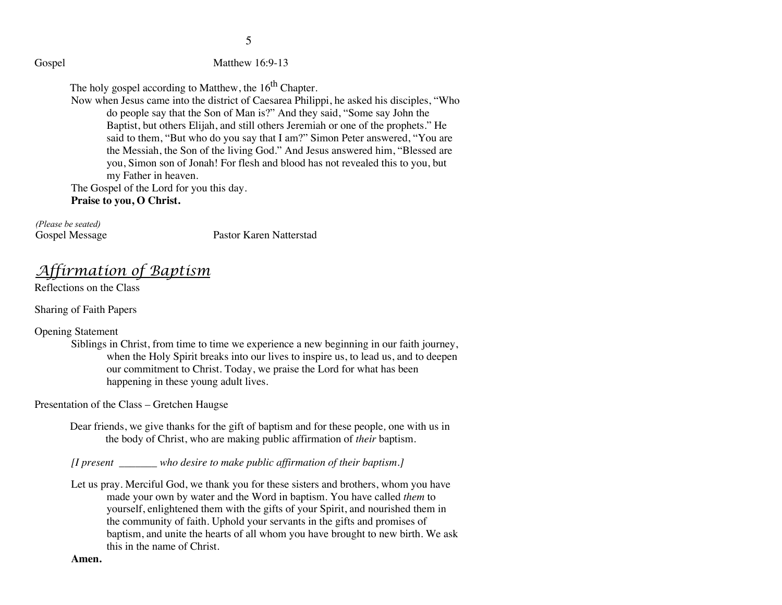Gospel Matthew 16:9-13

The holy gospel according to Matthew, the  $16<sup>th</sup>$  Chapter.

Now when Jesus came into the district of Caesarea Philippi, he asked his disciples, "Who do people say that the Son of Man is?" And they said, "Some say John the Baptist, but others Elijah, and still others Jeremiah or one of the prophets." He said to them, "But who do you say that I am?" Simon Peter answered, "You are the Messiah, the Son of the living God." And Jesus answered him, "Blessed are you, Simon son of Jonah! For flesh and blood has not revealed this to you, but my Father in heaven.

The Gospel of the Lord for you this day.

**Praise to you, O Christ.**

*(Please be seated)*

Gospel Message Pastor Karen Natterstad

*Affirmation of Baptism*

Reflections on the Class

Sharing of Faith Papers

Opening Statement

Siblings in Christ, from time to time we experience a new beginning in our faith journey, when the Holy Spirit breaks into our lives to inspire us, to lead us, and to deepen our commitment to Christ. Today, we praise the Lord for what has been happening in these young adult lives.

Presentation of the Class – Gretchen Haugse

Dear friends, we give thanks for the gift of baptism and for these people*,* one with us in the body of Christ, who are making public affirmation of *their* baptism.

*[I present \_\_\_\_\_\_\_ who desire to make public affirmation of their baptism.]*

Let us pray. Merciful God, we thank you for these sisters and brothers, whom you have made your own by water and the Word in baptism. You have called *them* to yourself, enlightened them with the gifts of your Spirit, and nourished them in the community of faith. Uphold your servants in the gifts and promises of baptism, and unite the hearts of all whom you have brought to new birth. We ask this in the name of Christ.

**Amen.**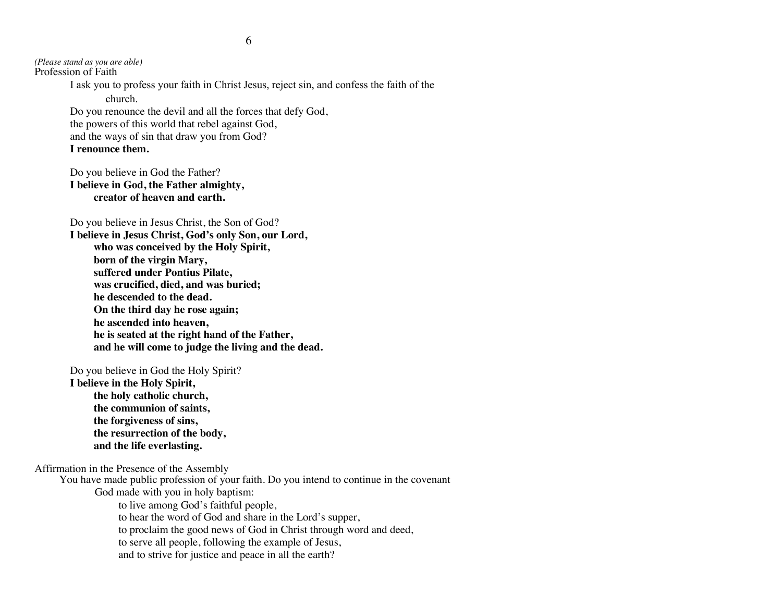*(Please stand as you are able)* Profession of Faith

> I ask you to profess your faith in Christ Jesus, reject sin, and confess the faith of the church.

Do you renounce the devil and all the forces that defy God, the powers of this world that rebel against God, and the ways of sin that draw you from God?

**I renounce them.**

Do you believe in God the Father? **I believe in God, the Father almighty, creator of heaven and earth.**

Do you believe in Jesus Christ, the Son of God?

**I believe in Jesus Christ, God's only Son, our Lord, who was conceived by the Holy Spirit, born of the virgin Mary, suffered under Pontius Pilate, was crucified, died, and was buried; he descended to the dead. On the third day he rose again; he ascended into heaven, he is seated at the right hand of the Father, and he will come to judge the living and the dead.**

Do you believe in God the Holy Spirit?

**I believe in the Holy Spirit, the holy catholic church, the communion of saints, the forgiveness of sins, the resurrection of the body, and the life everlasting.**

Affirmation in the Presence of the Assembly

You have made public profession of your faith. Do you intend to continue in the covenant

God made with you in holy baptism:

to live among God's faithful people,

to hear the word of God and share in the Lord's supper,

to proclaim the good news of God in Christ through word and deed,

to serve all people, following the example of Jesus,

and to strive for justice and peace in all the earth?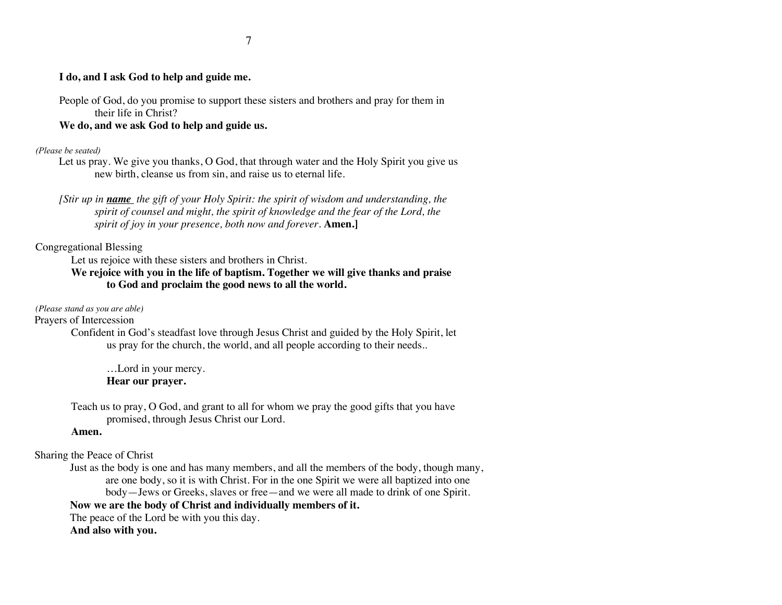#### **I do, and I ask God to help and guide me.**

People of God, do you promise to support these sisters and brothers and pray for them in their life in Christ?

#### **We do, and we ask God to help and guide us.**

#### *(Please be seated)*

Let us pray. We give you thanks, O God, that through water and the Holy Spirit you give us new birth, cleanse us from sin, and raise us to eternal life.

### Congregational Blessing

Let us rejoice with these sisters and brothers in Christ.

### **We rejoice with you in the life of baptism. Together we will give thanks and praise to God and proclaim the good news to all the world.**

#### *(Please stand as you are able)*

Prayers of Intercession

Confident in God's steadfast love through Jesus Christ and guided by the Holy Spirit, let us pray for the church, the world, and all people according to their needs..

…Lord in your mercy. **Hear our prayer.**

Teach us to pray, O God, and grant to all for whom we pray the good gifts that you have promised, through Jesus Christ our Lord.

#### **Amen.**

Sharing the Peace of Christ

Just as the body is one and has many members, and all the members of the body, though many, are one body, so it is with Christ. For in the one Spirit we were all baptized into one body—Jews or Greeks, slaves or free—and we were all made to drink of one Spirit. **Now we are the body of Christ and individually members of it.**

The peace of the Lord be with you this day.

**And also with you.**

*<sup>[</sup>Stir up in name the gift of your Holy Spirit: the spirit of wisdom and understanding, the spirit of counsel and might, the spirit of knowledge and the fear of the Lord, the spirit of joy in your presence, both now and forever.* **Amen.**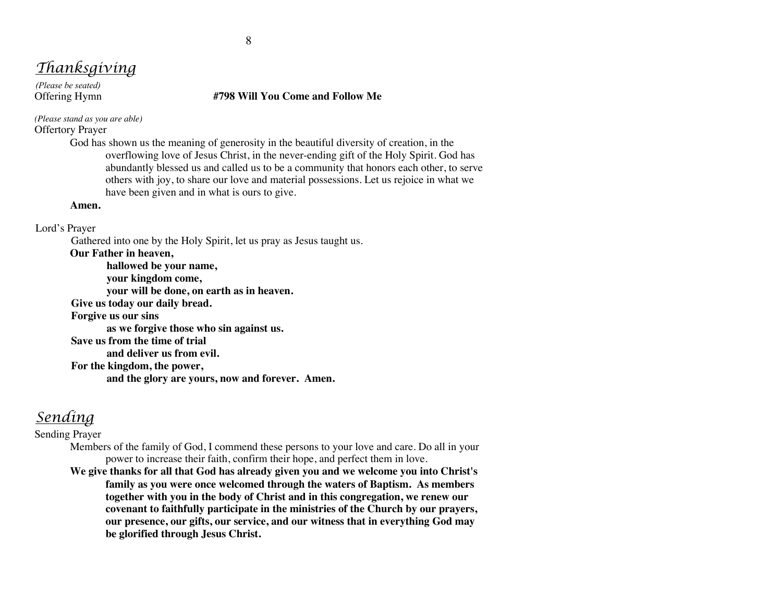# *Thanksgiving*

*(Please be seated)*

#### Offering Hymn **#798 Will You Come and Follow Me**

*(Please stand as you are able)* Offertory Prayer

> God has shown us the meaning of generosity in the beautiful diversity of creation, in the overflowing love of Jesus Christ, in the never-ending gift of the Holy Spirit. God has abundantly blessed us and called us to be a community that honors each other, to serve others with joy, to share our love and material possessions. Let us rejoice in what we have been given and in what is ours to give.

#### **Amen.**

#### Lord's Prayer

Gathered into one by the Holy Spirit, let us pray as Jesus taught us.

**Our Father in heaven,**

**hallowed be your name, your kingdom come, your will be done, on earth as in heaven. Give us today our daily bread. Forgive us our sins as we forgive those who sin against us. Save us from the time of trial and deliver us from evil. For the kingdom, the power, and the glory are yours, now and forever. Amen.**

## *Sending*

Sending Prayer

Members of the family of God, I commend these persons to your love and care. Do all in your power to increase their faith, confirm their hope, and perfect them in love.

**We give thanks for all that God has already given you and we welcome you into Christ's family as you were once welcomed through the waters of Baptism. As members together with you in the body of Christ and in this congregation, we renew our covenant to faithfully participate in the ministries of the Church by our prayers, our presence, our gifts, our service, and our witness that in everything God may be glorified through Jesus Christ.**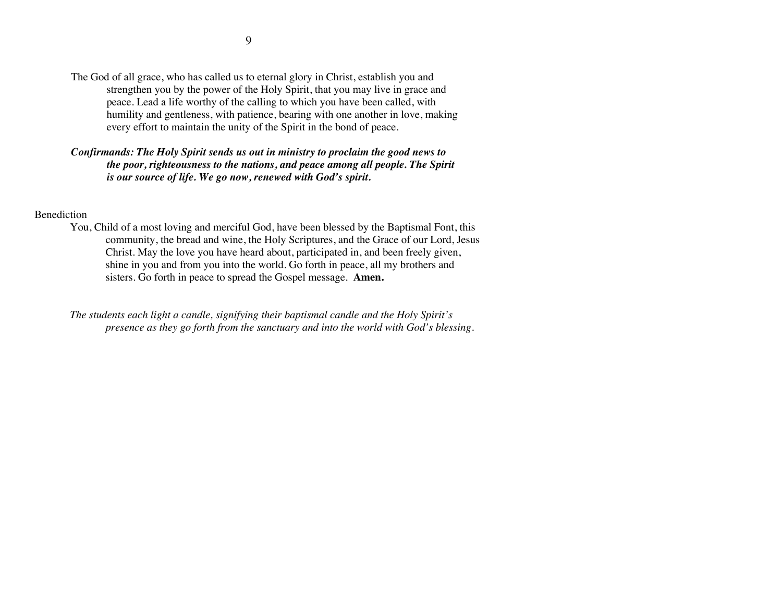The God of all grace, who has called us to eternal glory in Christ, establish you and strengthen you by the power of the Holy Spirit, that you may live in grace and peace. Lead a life worthy of the calling to which you have been called, with humility and gentleness, with patience, bearing with one another in love, making every effort to maintain the unity of the Spirit in the bond of peace.

### *Confirmands: The Holy Spirit sends us out in ministry to proclaim the good news to the poor, righteousness to the nations, and peace among all people. The Spirit is our source of life. We go now, renewed with God's spirit.*

#### Benediction

You, Child of a most loving and merciful God, have been blessed by the Baptismal Font, this community, the bread and wine, the Holy Scriptures, and the Grace of our Lord, Jesus Christ. May the love you have heard about, participated in, and been freely given, shine in you and from you into the world. Go forth in peace, all my brothers and sisters. Go forth in peace to spread the Gospel message. **Amen.**

*The students each light a candle, signifying their baptismal candle and the Holy Spirit's presence as they go forth from the sanctuary and into the world with God's blessing.*